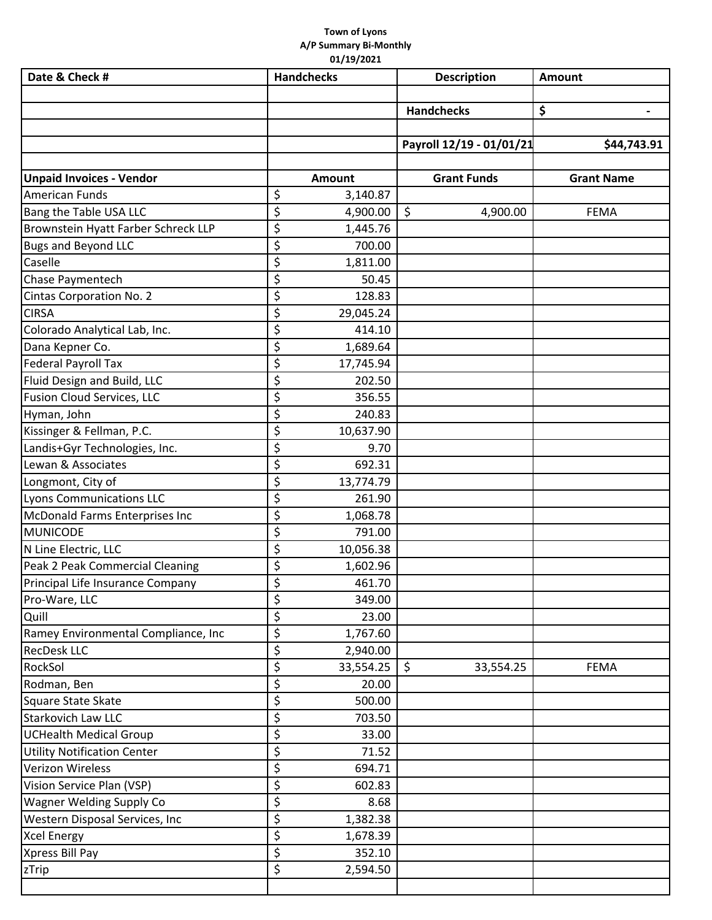## **Town of Lyons A/P Summary Bi‐Monthly 01/19/2021**

| Date & Check #                                           | <b>Handchecks</b>         | <b>Description</b>       | <b>Amount</b>     |
|----------------------------------------------------------|---------------------------|--------------------------|-------------------|
|                                                          |                           |                          |                   |
|                                                          |                           | <b>Handchecks</b>        | \$                |
|                                                          |                           |                          |                   |
|                                                          |                           | Payroll 12/19 - 01/01/21 | \$44,743.91       |
| <b>Unpaid Invoices - Vendor</b>                          | Amount                    | <b>Grant Funds</b>       | <b>Grant Name</b> |
| <b>American Funds</b>                                    | \$<br>3,140.87            |                          |                   |
| Bang the Table USA LLC                                   | \$<br>4,900.00            | \$<br>4,900.00           | <b>FEMA</b>       |
| Brownstein Hyatt Farber Schreck LLP                      | \$<br>1,445.76            |                          |                   |
| <b>Bugs and Beyond LLC</b>                               | \$<br>700.00              |                          |                   |
| Caselle                                                  | \$<br>1,811.00            |                          |                   |
| Chase Paymentech                                         | \$<br>50.45               |                          |                   |
| Cintas Corporation No. 2                                 | \$<br>128.83              |                          |                   |
| <b>CIRSA</b>                                             | \$<br>29,045.24           |                          |                   |
| Colorado Analytical Lab, Inc.                            | \$<br>414.10              |                          |                   |
| Dana Kepner Co.                                          | \$<br>1,689.64            |                          |                   |
| <b>Federal Payroll Tax</b>                               | \$<br>17,745.94           |                          |                   |
| Fluid Design and Build, LLC                              | \$<br>202.50              |                          |                   |
| <b>Fusion Cloud Services, LLC</b>                        | \$<br>356.55              |                          |                   |
| Hyman, John                                              | \$<br>240.83              |                          |                   |
| Kissinger & Fellman, P.C.                                | \$<br>10,637.90           |                          |                   |
| Landis+Gyr Technologies, Inc.                            | \$<br>9.70                |                          |                   |
| Lewan & Associates                                       | \$<br>692.31              |                          |                   |
|                                                          | \$                        |                          |                   |
| Longmont, City of<br>Lyons Communications LLC            | 13,774.79<br>\$<br>261.90 |                          |                   |
|                                                          | \$                        |                          |                   |
| <b>McDonald Farms Enterprises Inc</b><br><b>MUNICODE</b> | 1,068.78<br>\$<br>791.00  |                          |                   |
| N Line Electric, LLC                                     | \$<br>10,056.38           |                          |                   |
| Peak 2 Peak Commercial Cleaning                          | \$                        |                          |                   |
|                                                          | 1,602.96<br>461.70        |                          |                   |
| Principal Life Insurance Company                         | \$<br>\$<br>349.00        |                          |                   |
| Pro-Ware, LLC<br>Quill                                   | \$<br>23.00               |                          |                   |
| Ramey Environmental Compliance, Inc                      | \$<br>1,767.60            |                          |                   |
| <b>RecDesk LLC</b>                                       | \$<br>2,940.00            |                          |                   |
| RockSol                                                  | \$<br>33,554.25           | \$<br>33,554.25          | FEMA              |
| Rodman, Ben                                              | \$<br>20.00               |                          |                   |
| Square State Skate                                       | \$<br>500.00              |                          |                   |
| <b>Starkovich Law LLC</b>                                | \$<br>703.50              |                          |                   |
| <b>UCHealth Medical Group</b>                            | \$<br>33.00               |                          |                   |
| <b>Utility Notification Center</b>                       | \$<br>71.52               |                          |                   |
| <b>Verizon Wireless</b>                                  | \$<br>694.71              |                          |                   |
| Vision Service Plan (VSP)                                | \$<br>602.83              |                          |                   |
| <b>Wagner Welding Supply Co</b>                          | \$<br>8.68                |                          |                   |
| Western Disposal Services, Inc                           | \$<br>1,382.38            |                          |                   |
| <b>Xcel Energy</b>                                       | \$<br>1,678.39            |                          |                   |
| Xpress Bill Pay                                          | \$<br>352.10              |                          |                   |
| zTrip                                                    | \$<br>2,594.50            |                          |                   |
|                                                          |                           |                          |                   |